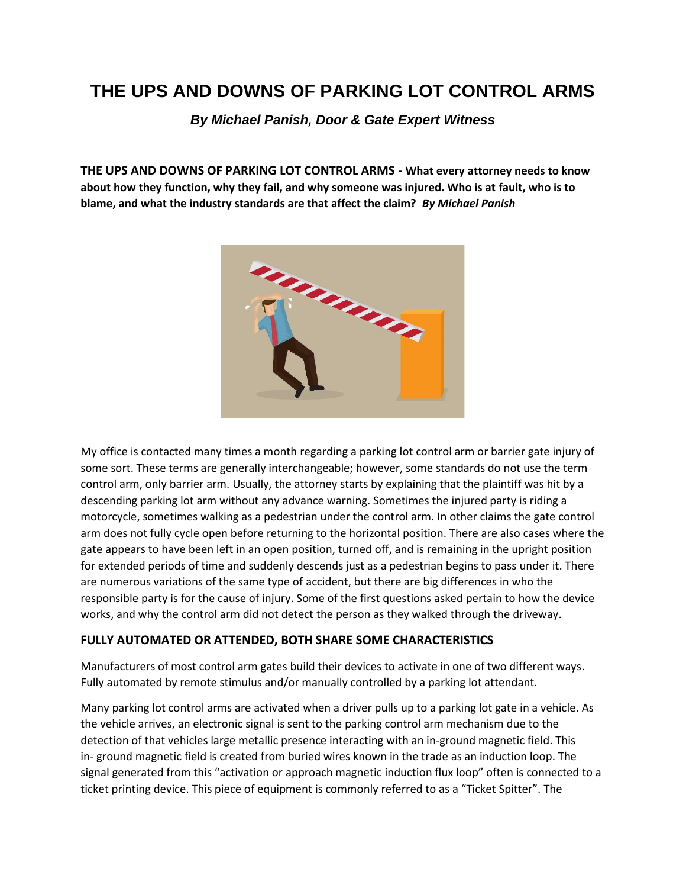# **THE UPS AND DOWNS OF PARKING LOT CONTROL ARMS**

*By Michael Panish, Door & Gate Expert Witness*

**THE UPS AND DOWNS OF PARKING LOT CONTROL ARMS - What every attorney needs to know about how they function, why they fail, and why someone was injured. Who is at fault, who is to blame, and what the industry standards are that affect the claim?** *By Michael Panish*



My office is contacted many times a month regarding a parking lot control arm or barrier gate injury of some sort. These terms are generally interchangeable; however, some standards do not use the term control arm, only barrier arm. Usually, the attorney starts by explaining that the plaintiff was hit by a descending parking lot arm without any advance warning. Sometimes the injured party is riding a motorcycle, sometimes walking as a pedestrian under the control arm. In other claims the gate control arm does not fully cycle open before returning to the horizontal position. There are also cases where the gate appears to have been left in an open position, turned off, and is remaining in the upright position for extended periods of time and suddenly descends just as a pedestrian begins to pass under it. There are numerous variations of the same type of accident, but there are big differences in who the responsible party is for the cause of injury. Some of the first questions asked pertain to how the device works, and why the control arm did not detect the person as they walked through the driveway.

## **FULLY AUTOMATED OR ATTENDED, BOTH SHARE SOME CHARACTERISTICS**

Manufacturers of most control arm gates build their devices to activate in one of two different ways. Fully automated by remote stimulus and/or manually controlled by a parking lot attendant.

Many parking lot control arms are activated when a driver pulls up to a parking lot gate in a vehicle. As the vehicle arrives, an electronic signal is sent to the parking control arm mechanism due to the detection of that vehicles large metallic presence interacting with an in-ground magnetic field. This in- ground magnetic field is created from buried wires known in the trade as an induction loop. The signal generated from this "activation or approach magnetic induction flux loop" often is connected to a ticket printing device. This piece of equipment is commonly referred to as a "Ticket Spitter". The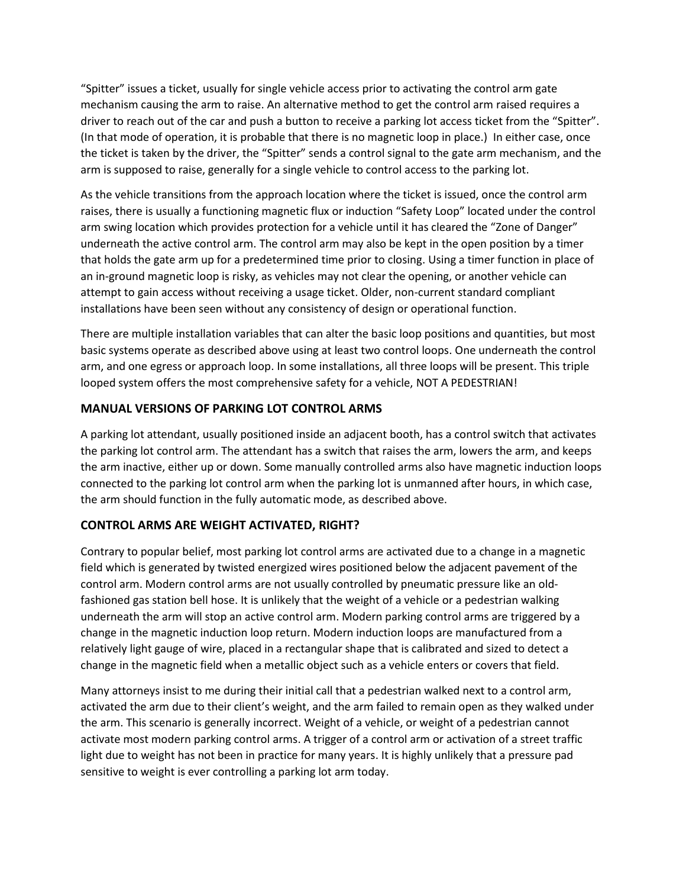"Spitter" issues a ticket, usually for single vehicle access prior to activating the control arm gate mechanism causing the arm to raise. An alternative method to get the control arm raised requires a driver to reach out of the car and push a button to receive a parking lot access ticket from the "Spitter". (In that mode of operation, it is probable that there is no magnetic loop in place.) In either case, once the ticket is taken by the driver, the "Spitter" sends a control signal to the gate arm mechanism, and the arm is supposed to raise, generally for a single vehicle to control access to the parking lot.

As the vehicle transitions from the approach location where the ticket is issued, once the control arm raises, there is usually a functioning magnetic flux or induction "Safety Loop" located under the control arm swing location which provides protection for a vehicle until it has cleared the "Zone of Danger" underneath the active control arm. The control arm may also be kept in the open position by a timer that holds the gate arm up for a predetermined time prior to closing. Using a timer function in place of an in-ground magnetic loop is risky, as vehicles may not clear the opening, or another vehicle can attempt to gain access without receiving a usage ticket. Older, non-current standard compliant installations have been seen without any consistency of design or operational function.

There are multiple installation variables that can alter the basic loop positions and quantities, but most basic systems operate as described above using at least two control loops. One underneath the control arm, and one egress or approach loop. In some installations, all three loops will be present. This triple looped system offers the most comprehensive safety for a vehicle, NOT A PEDESTRIAN!

## **MANUAL VERSIONS OF PARKING LOT CONTROL ARMS**

A parking lot attendant, usually positioned inside an adjacent booth, has a control switch that activates the parking lot control arm. The attendant has a switch that raises the arm, lowers the arm, and keeps the arm inactive, either up or down. Some manually controlled arms also have magnetic induction loops connected to the parking lot control arm when the parking lot is unmanned after hours, in which case, the arm should function in the fully automatic mode, as described above.

## **CONTROL ARMS ARE WEIGHT ACTIVATED, RIGHT?**

Contrary to popular belief, most parking lot control arms are activated due to a change in a magnetic field which is generated by twisted energized wires positioned below the adjacent pavement of the control arm. Modern control arms are not usually controlled by pneumatic pressure like an oldfashioned gas station bell hose. It is unlikely that the weight of a vehicle or a pedestrian walking underneath the arm will stop an active control arm. Modern parking control arms are triggered by a change in the magnetic induction loop return. Modern induction loops are manufactured from a relatively light gauge of wire, placed in a rectangular shape that is calibrated and sized to detect a change in the magnetic field when a metallic object such as a vehicle enters or covers that field.

Many attorneys insist to me during their initial call that a pedestrian walked next to a control arm, activated the arm due to their client's weight, and the arm failed to remain open as they walked under the arm. This scenario is generally incorrect. Weight of a vehicle, or weight of a pedestrian cannot activate most modern parking control arms. A trigger of a control arm or activation of a street traffic light due to weight has not been in practice for many years. It is highly unlikely that a pressure pad sensitive to weight is ever controlling a parking lot arm today.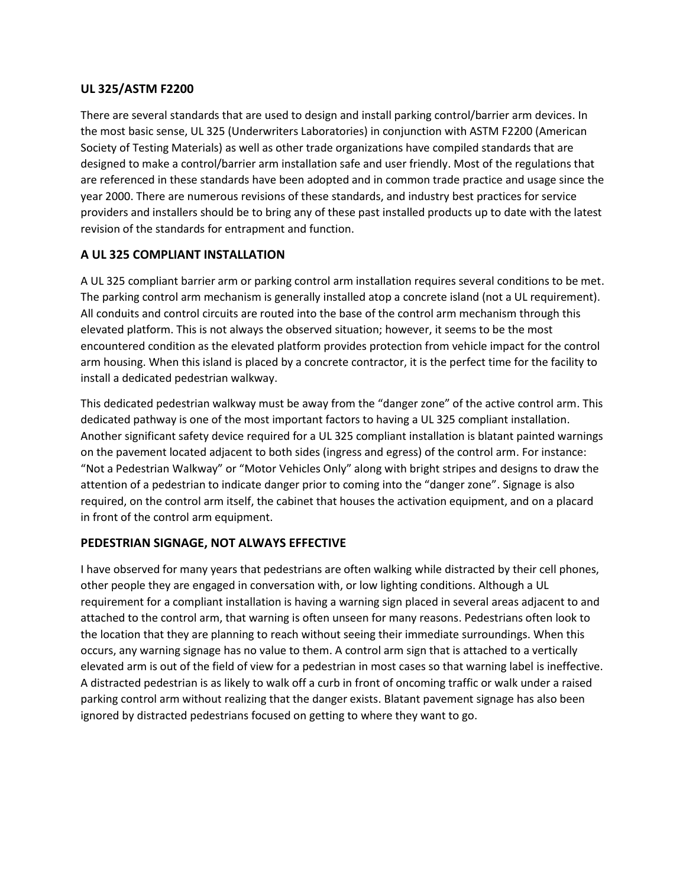## **UL 325/ASTM F2200**

There are several standards that are used to design and install parking control/barrier arm devices. In the most basic sense, UL 325 (Underwriters Laboratories) in conjunction with ASTM F2200 (American Society of Testing Materials) as well as other trade organizations have compiled standards that are designed to make a control/barrier arm installation safe and user friendly. Most of the regulations that are referenced in these standards have been adopted and in common trade practice and usage since the year 2000. There are numerous revisions of these standards, and industry best practices for service providers and installers should be to bring any of these past installed products up to date with the latest revision of the standards for entrapment and function.

## **A UL 325 COMPLIANT INSTALLATION**

A UL 325 compliant barrier arm or parking control arm installation requires several conditions to be met. The parking control arm mechanism is generally installed atop a concrete island (not a UL requirement). All conduits and control circuits are routed into the base of the control arm mechanism through this elevated platform. This is not always the observed situation; however, it seems to be the most encountered condition as the elevated platform provides protection from vehicle impact for the control arm housing. When this island is placed by a concrete contractor, it is the perfect time for the facility to install a dedicated pedestrian walkway.

This dedicated pedestrian walkway must be away from the "danger zone" of the active control arm. This dedicated pathway is one of the most important factors to having a UL 325 compliant installation. Another significant safety device required for a UL 325 compliant installation is blatant painted warnings on the pavement located adjacent to both sides (ingress and egress) of the control arm. For instance: "Not a Pedestrian Walkway" or "Motor Vehicles Only" along with bright stripes and designs to draw the attention of a pedestrian to indicate danger prior to coming into the "danger zone". Signage is also required, on the control arm itself, the cabinet that houses the activation equipment, and on a placard in front of the control arm equipment.

# **PEDESTRIAN SIGNAGE, NOT ALWAYS EFFECTIVE**

I have observed for many years that pedestrians are often walking while distracted by their cell phones, other people they are engaged in conversation with, or low lighting conditions. Although a UL requirement for a compliant installation is having a warning sign placed in several areas adjacent to and attached to the control arm, that warning is often unseen for many reasons. Pedestrians often look to the location that they are planning to reach without seeing their immediate surroundings. When this occurs, any warning signage has no value to them. A control arm sign that is attached to a vertically elevated arm is out of the field of view for a pedestrian in most cases so that warning label is ineffective. A distracted pedestrian is as likely to walk off a curb in front of oncoming traffic or walk under a raised parking control arm without realizing that the danger exists. Blatant pavement signage has also been ignored by distracted pedestrians focused on getting to where they want to go.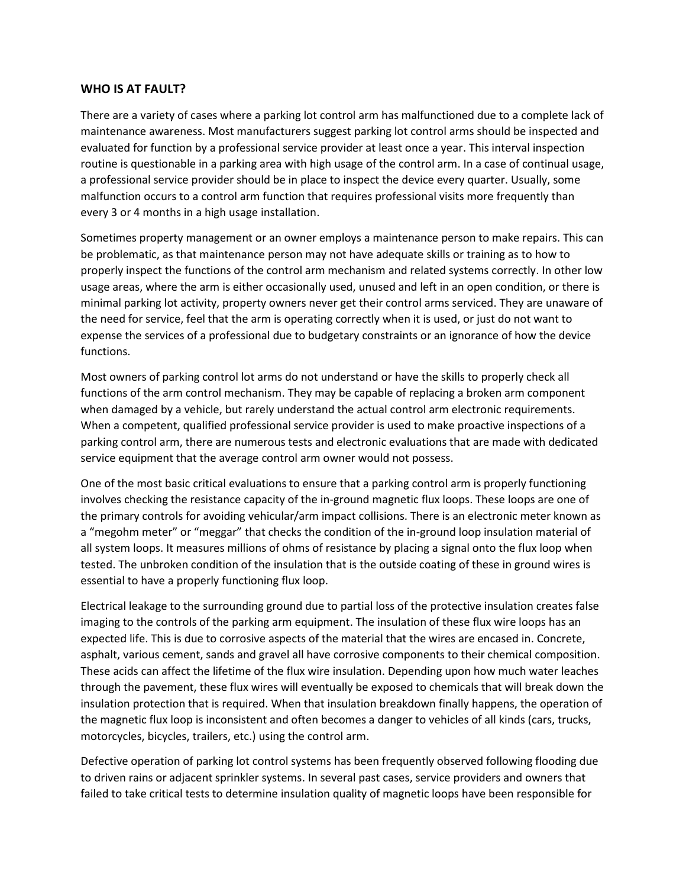#### **WHO IS AT FAULT?**

There are a variety of cases where a parking lot control arm has malfunctioned due to a complete lack of maintenance awareness. Most manufacturers suggest parking lot control arms should be inspected and evaluated for function by a professional service provider at least once a year. This interval inspection routine is questionable in a parking area with high usage of the control arm. In a case of continual usage, a professional service provider should be in place to inspect the device every quarter. Usually, some malfunction occurs to a control arm function that requires professional visits more frequently than every 3 or 4 months in a high usage installation.

Sometimes property management or an owner employs a maintenance person to make repairs. This can be problematic, as that maintenance person may not have adequate skills or training as to how to properly inspect the functions of the control arm mechanism and related systems correctly. In other low usage areas, where the arm is either occasionally used, unused and left in an open condition, or there is minimal parking lot activity, property owners never get their control arms serviced. They are unaware of the need for service, feel that the arm is operating correctly when it is used, or just do not want to expense the services of a professional due to budgetary constraints or an ignorance of how the device functions.

Most owners of parking control lot arms do not understand or have the skills to properly check all functions of the arm control mechanism. They may be capable of replacing a broken arm component when damaged by a vehicle, but rarely understand the actual control arm electronic requirements. When a competent, qualified professional service provider is used to make proactive inspections of a parking control arm, there are numerous tests and electronic evaluations that are made with dedicated service equipment that the average control arm owner would not possess.

One of the most basic critical evaluations to ensure that a parking control arm is properly functioning involves checking the resistance capacity of the in-ground magnetic flux loops. These loops are one of the primary controls for avoiding vehicular/arm impact collisions. There is an electronic meter known as a "megohm meter" or "meggar" that checks the condition of the in-ground loop insulation material of all system loops. It measures millions of ohms of resistance by placing a signal onto the flux loop when tested. The unbroken condition of the insulation that is the outside coating of these in ground wires is essential to have a properly functioning flux loop.

Electrical leakage to the surrounding ground due to partial loss of the protective insulation creates false imaging to the controls of the parking arm equipment. The insulation of these flux wire loops has an expected life. This is due to corrosive aspects of the material that the wires are encased in. Concrete, asphalt, various cement, sands and gravel all have corrosive components to their chemical composition. These acids can affect the lifetime of the flux wire insulation. Depending upon how much water leaches through the pavement, these flux wires will eventually be exposed to chemicals that will break down the insulation protection that is required. When that insulation breakdown finally happens, the operation of the magnetic flux loop is inconsistent and often becomes a danger to vehicles of all kinds (cars, trucks, motorcycles, bicycles, trailers, etc.) using the control arm.

Defective operation of parking lot control systems has been frequently observed following flooding due to driven rains or adjacent sprinkler systems. In several past cases, service providers and owners that failed to take critical tests to determine insulation quality of magnetic loops have been responsible for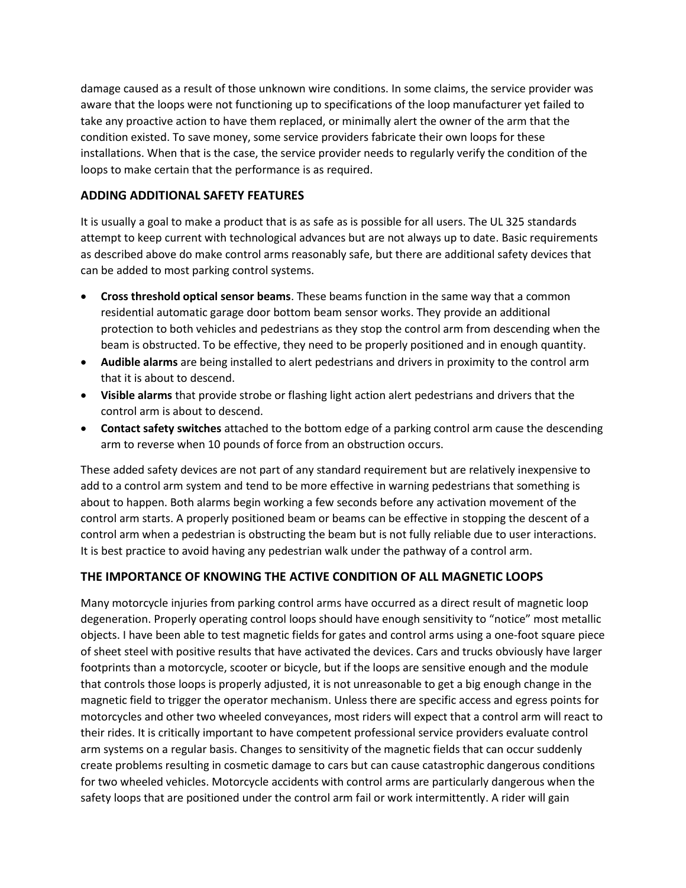damage caused as a result of those unknown wire conditions. In some claims, the service provider was aware that the loops were not functioning up to specifications of the loop manufacturer yet failed to take any proactive action to have them replaced, or minimally alert the owner of the arm that the condition existed. To save money, some service providers fabricate their own loops for these installations. When that is the case, the service provider needs to regularly verify the condition of the loops to make certain that the performance is as required.

## **ADDING ADDITIONAL SAFETY FEATURES**

It is usually a goal to make a product that is as safe as is possible for all users. The UL 325 standards attempt to keep current with technological advances but are not always up to date. Basic requirements as described above do make control arms reasonably safe, but there are additional safety devices that can be added to most parking control systems.

- **Cross threshold optical sensor beams**. These beams function in the same way that a common residential automatic garage door bottom beam sensor works. They provide an additional protection to both vehicles and pedestrians as they stop the control arm from descending when the beam is obstructed. To be effective, they need to be properly positioned and in enough quantity.
- **Audible alarms** are being installed to alert pedestrians and drivers in proximity to the control arm that it is about to descend.
- **Visible alarms** that provide strobe or flashing light action alert pedestrians and drivers that the control arm is about to descend.
- **Contact safety switches** attached to the bottom edge of a parking control arm cause the descending arm to reverse when 10 pounds of force from an obstruction occurs.

These added safety devices are not part of any standard requirement but are relatively inexpensive to add to a control arm system and tend to be more effective in warning pedestrians that something is about to happen. Both alarms begin working a few seconds before any activation movement of the control arm starts. A properly positioned beam or beams can be effective in stopping the descent of a control arm when a pedestrian is obstructing the beam but is not fully reliable due to user interactions. It is best practice to avoid having any pedestrian walk under the pathway of a control arm.

## **THE IMPORTANCE OF KNOWING THE ACTIVE CONDITION OF ALL MAGNETIC LOOPS**

Many motorcycle injuries from parking control arms have occurred as a direct result of magnetic loop degeneration. Properly operating control loops should have enough sensitivity to "notice" most metallic objects. I have been able to test magnetic fields for gates and control arms using a one-foot square piece of sheet steel with positive results that have activated the devices. Cars and trucks obviously have larger footprints than a motorcycle, scooter or bicycle, but if the loops are sensitive enough and the module that controls those loops is properly adjusted, it is not unreasonable to get a big enough change in the magnetic field to trigger the operator mechanism. Unless there are specific access and egress points for motorcycles and other two wheeled conveyances, most riders will expect that a control arm will react to their rides. It is critically important to have competent professional service providers evaluate control arm systems on a regular basis. Changes to sensitivity of the magnetic fields that can occur suddenly create problems resulting in cosmetic damage to cars but can cause catastrophic dangerous conditions for two wheeled vehicles. Motorcycle accidents with control arms are particularly dangerous when the safety loops that are positioned under the control arm fail or work intermittently. A rider will gain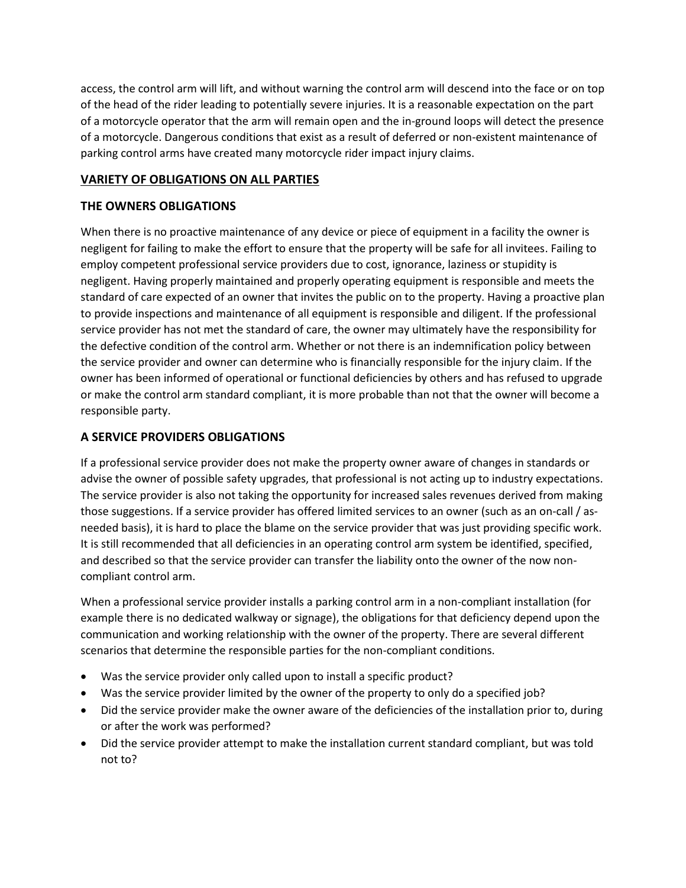access, the control arm will lift, and without warning the control arm will descend into the face or on top of the head of the rider leading to potentially severe injuries. It is a reasonable expectation on the part of a motorcycle operator that the arm will remain open and the in-ground loops will detect the presence of a motorcycle. Dangerous conditions that exist as a result of deferred or non-existent maintenance of parking control arms have created many motorcycle rider impact injury claims.

# **VARIETY OF OBLIGATIONS ON ALL PARTIES**

# **THE OWNERS OBLIGATIONS**

When there is no proactive maintenance of any device or piece of equipment in a facility the owner is negligent for failing to make the effort to ensure that the property will be safe for all invitees. Failing to employ competent professional service providers due to cost, ignorance, laziness or stupidity is negligent. Having properly maintained and properly operating equipment is responsible and meets the standard of care expected of an owner that invites the public on to the property. Having a proactive plan to provide inspections and maintenance of all equipment is responsible and diligent. If the professional service provider has not met the standard of care, the owner may ultimately have the responsibility for the defective condition of the control arm. Whether or not there is an indemnification policy between the service provider and owner can determine who is financially responsible for the injury claim. If the owner has been informed of operational or functional deficiencies by others and has refused to upgrade or make the control arm standard compliant, it is more probable than not that the owner will become a responsible party.

# **A SERVICE PROVIDERS OBLIGATIONS**

If a professional service provider does not make the property owner aware of changes in standards or advise the owner of possible safety upgrades, that professional is not acting up to industry expectations. The service provider is also not taking the opportunity for increased sales revenues derived from making those suggestions. If a service provider has offered limited services to an owner (such as an on-call / asneeded basis), it is hard to place the blame on the service provider that was just providing specific work. It is still recommended that all deficiencies in an operating control arm system be identified, specified, and described so that the service provider can transfer the liability onto the owner of the now noncompliant control arm.

When a professional service provider installs a parking control arm in a non-compliant installation (for example there is no dedicated walkway or signage), the obligations for that deficiency depend upon the communication and working relationship with the owner of the property. There are several different scenarios that determine the responsible parties for the non-compliant conditions.

- Was the service provider only called upon to install a specific product?
- Was the service provider limited by the owner of the property to only do a specified job?
- Did the service provider make the owner aware of the deficiencies of the installation prior to, during or after the work was performed?
- Did the service provider attempt to make the installation current standard compliant, but was told not to?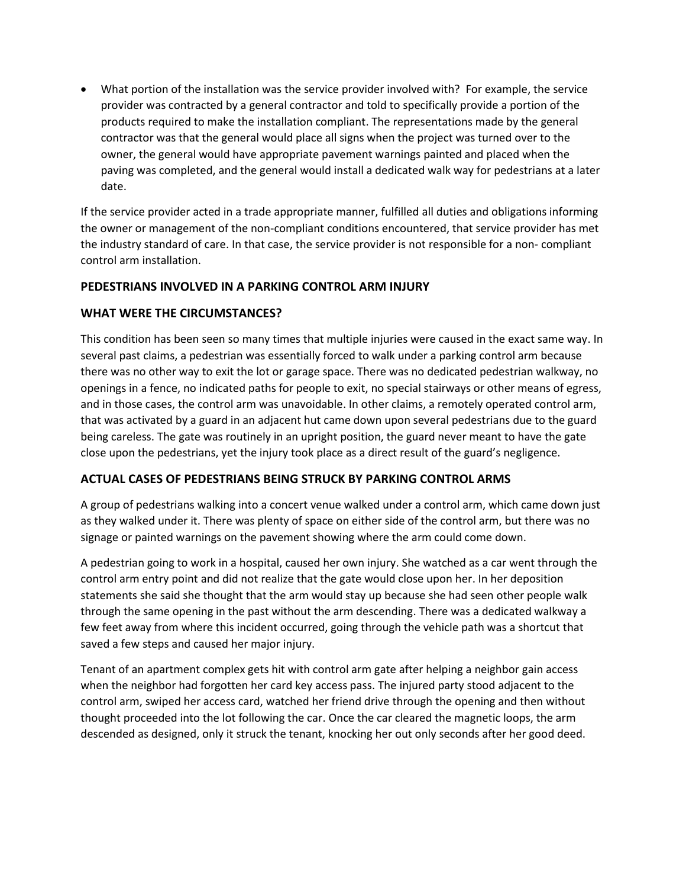• What portion of the installation was the service provider involved with? For example, the service provider was contracted by a general contractor and told to specifically provide a portion of the products required to make the installation compliant. The representations made by the general contractor was that the general would place all signs when the project was turned over to the owner, the general would have appropriate pavement warnings painted and placed when the paving was completed, and the general would install a dedicated walk way for pedestrians at a later date.

If the service provider acted in a trade appropriate manner, fulfilled all duties and obligations informing the owner or management of the non-compliant conditions encountered, that service provider has met the industry standard of care. In that case, the service provider is not responsible for a non- compliant control arm installation.

## **PEDESTRIANS INVOLVED IN A PARKING CONTROL ARM INJURY**

## **WHAT WERE THE CIRCUMSTANCES?**

This condition has been seen so many times that multiple injuries were caused in the exact same way. In several past claims, a pedestrian was essentially forced to walk under a parking control arm because there was no other way to exit the lot or garage space. There was no dedicated pedestrian walkway, no openings in a fence, no indicated paths for people to exit, no special stairways or other means of egress, and in those cases, the control arm was unavoidable. In other claims, a remotely operated control arm, that was activated by a guard in an adjacent hut came down upon several pedestrians due to the guard being careless. The gate was routinely in an upright position, the guard never meant to have the gate close upon the pedestrians, yet the injury took place as a direct result of the guard's negligence.

#### **ACTUAL CASES OF PEDESTRIANS BEING STRUCK BY PARKING CONTROL ARMS**

A group of pedestrians walking into a concert venue walked under a control arm, which came down just as they walked under it. There was plenty of space on either side of the control arm, but there was no signage or painted warnings on the pavement showing where the arm could come down.

A pedestrian going to work in a hospital, caused her own injury. She watched as a car went through the control arm entry point and did not realize that the gate would close upon her. In her deposition statements she said she thought that the arm would stay up because she had seen other people walk through the same opening in the past without the arm descending. There was a dedicated walkway a few feet away from where this incident occurred, going through the vehicle path was a shortcut that saved a few steps and caused her major injury.

Tenant of an apartment complex gets hit with control arm gate after helping a neighbor gain access when the neighbor had forgotten her card key access pass. The injured party stood adjacent to the control arm, swiped her access card, watched her friend drive through the opening and then without thought proceeded into the lot following the car. Once the car cleared the magnetic loops, the arm descended as designed, only it struck the tenant, knocking her out only seconds after her good deed.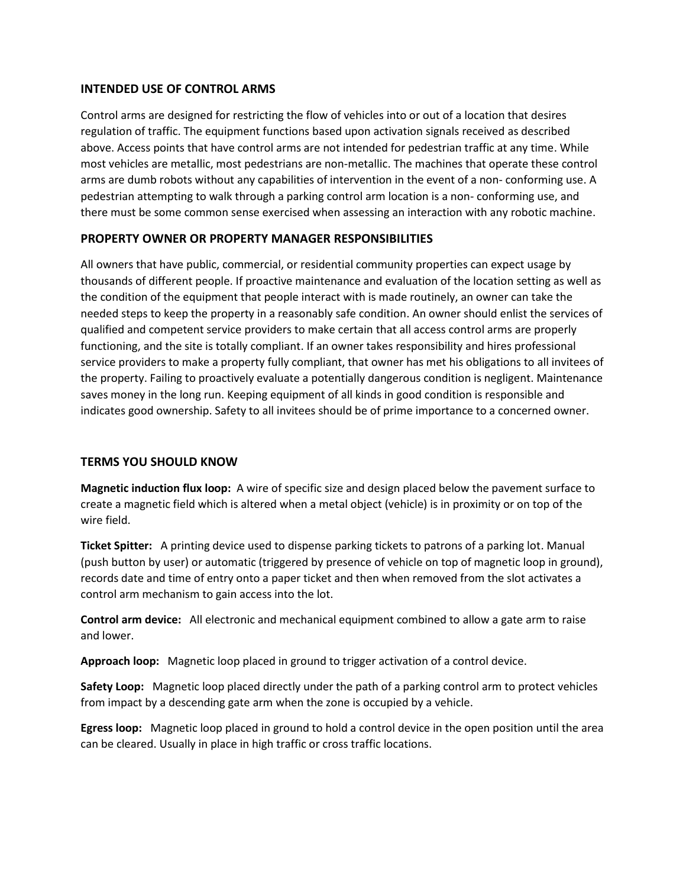## **INTENDED USE OF CONTROL ARMS**

Control arms are designed for restricting the flow of vehicles into or out of a location that desires regulation of traffic. The equipment functions based upon activation signals received as described above. Access points that have control arms are not intended for pedestrian traffic at any time. While most vehicles are metallic, most pedestrians are non-metallic. The machines that operate these control arms are dumb robots without any capabilities of intervention in the event of a non- conforming use. A pedestrian attempting to walk through a parking control arm location is a non- conforming use, and there must be some common sense exercised when assessing an interaction with any robotic machine.

## **PROPERTY OWNER OR PROPERTY MANAGER RESPONSIBILITIES**

All owners that have public, commercial, or residential community properties can expect usage by thousands of different people. If proactive maintenance and evaluation of the location setting as well as the condition of the equipment that people interact with is made routinely, an owner can take the needed steps to keep the property in a reasonably safe condition. An owner should enlist the services of qualified and competent service providers to make certain that all access control arms are properly functioning, and the site is totally compliant. If an owner takes responsibility and hires professional service providers to make a property fully compliant, that owner has met his obligations to all invitees of the property. Failing to proactively evaluate a potentially dangerous condition is negligent. Maintenance saves money in the long run. Keeping equipment of all kinds in good condition is responsible and indicates good ownership. Safety to all invitees should be of prime importance to a concerned owner.

## **TERMS YOU SHOULD KNOW**

**Magnetic induction flux loop:** A wire of specific size and design placed below the pavement surface to create a magnetic field which is altered when a metal object (vehicle) is in proximity or on top of the wire field.

**Ticket Spitter:** A printing device used to dispense parking tickets to patrons of a parking lot. Manual (push button by user) or automatic (triggered by presence of vehicle on top of magnetic loop in ground), records date and time of entry onto a paper ticket and then when removed from the slot activates a control arm mechanism to gain access into the lot.

**Control arm device:** All electronic and mechanical equipment combined to allow a gate arm to raise and lower.

**Approach loop:** Magnetic loop placed in ground to trigger activation of a control device.

**Safety Loop:** Magnetic loop placed directly under the path of a parking control arm to protect vehicles from impact by a descending gate arm when the zone is occupied by a vehicle.

**Egress loop:** Magnetic loop placed in ground to hold a control device in the open position until the area can be cleared. Usually in place in high traffic or cross traffic locations.